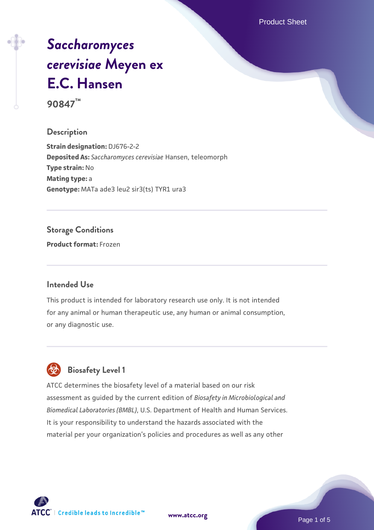Product Sheet

# *[Saccharomyces](https://www.atcc.org/products/90847) [cerevisiae](https://www.atcc.org/products/90847)* **[Meyen ex](https://www.atcc.org/products/90847) [E.C. Hansen](https://www.atcc.org/products/90847)**

**90847™**

# **Description**

**Strain designation:** DJ676-2-2 **Deposited As:** *Saccharomyces cerevisiae* Hansen, teleomorph **Type strain:** No **Mating type:** a **Genotype:** MATa ade3 leu2 sir3(ts) TYR1 ura3

# **Storage Conditions**

**Product format:** Frozen

#### **Intended Use**

This product is intended for laboratory research use only. It is not intended for any animal or human therapeutic use, any human or animal consumption, or any diagnostic use.



# **Biosafety Level 1**

ATCC determines the biosafety level of a material based on our risk assessment as guided by the current edition of *Biosafety in Microbiological and Biomedical Laboratories (BMBL)*, U.S. Department of Health and Human Services. It is your responsibility to understand the hazards associated with the material per your organization's policies and procedures as well as any other

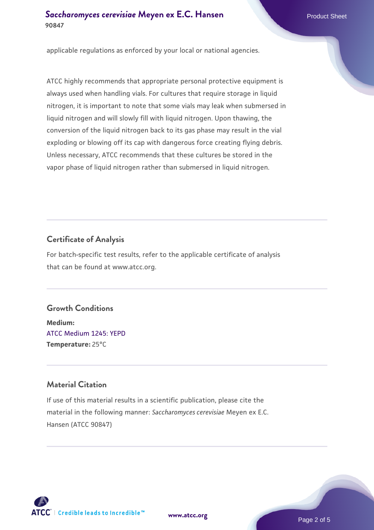#### **[Saccharomyces cerevisiae](https://www.atcc.org/products/90847)** [Meyen ex E.C. Hansen](https://www.atcc.org/products/90847) **90847**

applicable regulations as enforced by your local or national agencies.

ATCC highly recommends that appropriate personal protective equipment is always used when handling vials. For cultures that require storage in liquid nitrogen, it is important to note that some vials may leak when submersed in liquid nitrogen and will slowly fill with liquid nitrogen. Upon thawing, the conversion of the liquid nitrogen back to its gas phase may result in the vial exploding or blowing off its cap with dangerous force creating flying debris. Unless necessary, ATCC recommends that these cultures be stored in the vapor phase of liquid nitrogen rather than submersed in liquid nitrogen.

# **Certificate of Analysis**

For batch-specific test results, refer to the applicable certificate of analysis that can be found at www.atcc.org.

#### **Growth Conditions**

**Medium:**  [ATCC Medium 1245: YEPD](https://www.atcc.org/-/media/product-assets/documents/microbial-media-formulations/1/2/4/5/atcc-medium-1245.pdf?rev=705ca55d1b6f490a808a965d5c072196) **Temperature:** 25°C

## **Material Citation**

If use of this material results in a scientific publication, please cite the material in the following manner: *Saccharomyces cerevisiae* Meyen ex E.C. Hansen (ATCC 90847)



**[www.atcc.org](http://www.atcc.org)**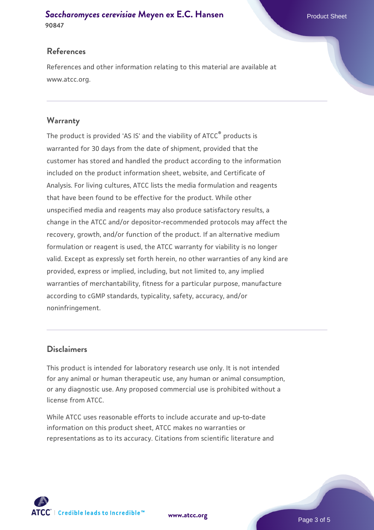#### **[Saccharomyces cerevisiae](https://www.atcc.org/products/90847)** [Meyen ex E.C. Hansen](https://www.atcc.org/products/90847) **90847**

## **References**

References and other information relating to this material are available at www.atcc.org.

#### **Warranty**

The product is provided 'AS IS' and the viability of ATCC® products is warranted for 30 days from the date of shipment, provided that the customer has stored and handled the product according to the information included on the product information sheet, website, and Certificate of Analysis. For living cultures, ATCC lists the media formulation and reagents that have been found to be effective for the product. While other unspecified media and reagents may also produce satisfactory results, a change in the ATCC and/or depositor-recommended protocols may affect the recovery, growth, and/or function of the product. If an alternative medium formulation or reagent is used, the ATCC warranty for viability is no longer valid. Except as expressly set forth herein, no other warranties of any kind are provided, express or implied, including, but not limited to, any implied warranties of merchantability, fitness for a particular purpose, manufacture according to cGMP standards, typicality, safety, accuracy, and/or noninfringement.

#### **Disclaimers**

This product is intended for laboratory research use only. It is not intended for any animal or human therapeutic use, any human or animal consumption, or any diagnostic use. Any proposed commercial use is prohibited without a license from ATCC.

While ATCC uses reasonable efforts to include accurate and up-to-date information on this product sheet, ATCC makes no warranties or representations as to its accuracy. Citations from scientific literature and



**[www.atcc.org](http://www.atcc.org)**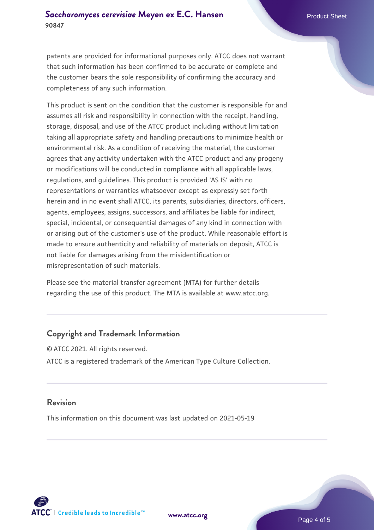patents are provided for informational purposes only. ATCC does not warrant that such information has been confirmed to be accurate or complete and the customer bears the sole responsibility of confirming the accuracy and completeness of any such information.

This product is sent on the condition that the customer is responsible for and assumes all risk and responsibility in connection with the receipt, handling, storage, disposal, and use of the ATCC product including without limitation taking all appropriate safety and handling precautions to minimize health or environmental risk. As a condition of receiving the material, the customer agrees that any activity undertaken with the ATCC product and any progeny or modifications will be conducted in compliance with all applicable laws, regulations, and guidelines. This product is provided 'AS IS' with no representations or warranties whatsoever except as expressly set forth herein and in no event shall ATCC, its parents, subsidiaries, directors, officers, agents, employees, assigns, successors, and affiliates be liable for indirect, special, incidental, or consequential damages of any kind in connection with or arising out of the customer's use of the product. While reasonable effort is made to ensure authenticity and reliability of materials on deposit, ATCC is not liable for damages arising from the misidentification or misrepresentation of such materials.

Please see the material transfer agreement (MTA) for further details regarding the use of this product. The MTA is available at www.atcc.org.

#### **Copyright and Trademark Information**

© ATCC 2021. All rights reserved. ATCC is a registered trademark of the American Type Culture Collection.

#### **Revision**

This information on this document was last updated on 2021-05-19



**[www.atcc.org](http://www.atcc.org)**